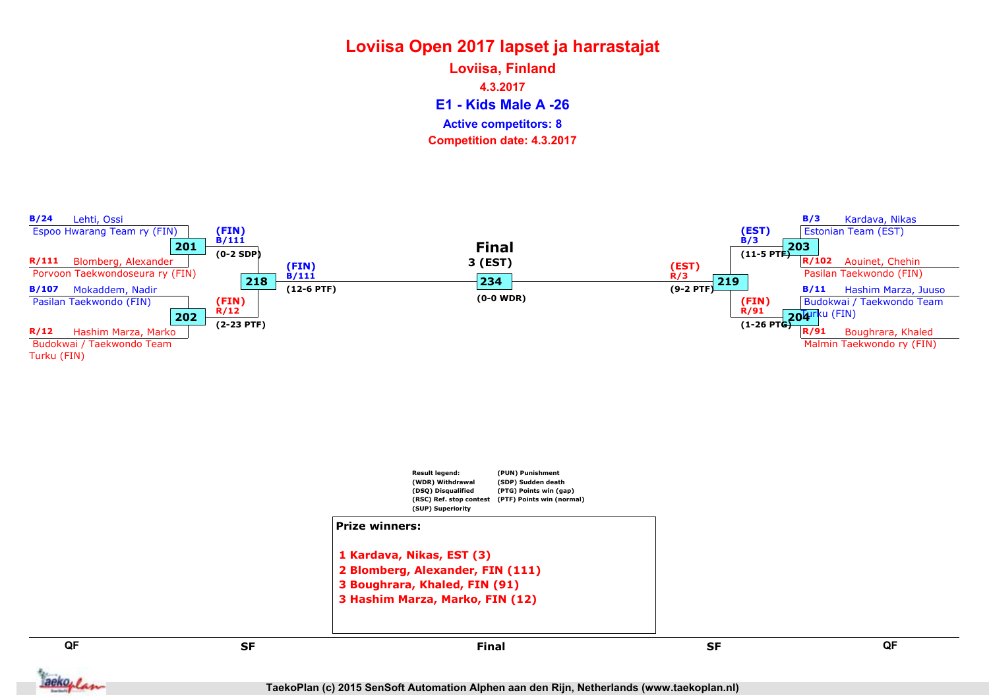E1 - Kids Male A -26 Loviisa, Finland 4.3.2017 Competition date: 4.3.2017 Active competitors: 8

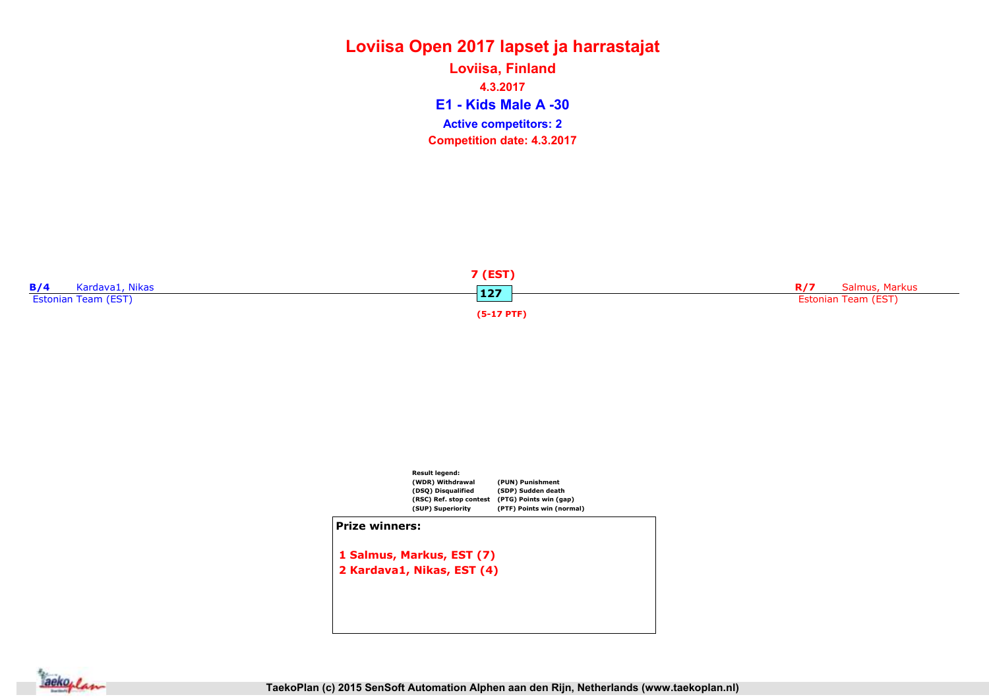E1 - Kids Male A -30 Loviisa, Finland 4.3.2017 Competition date: 4.3.2017 Active competitors: 2





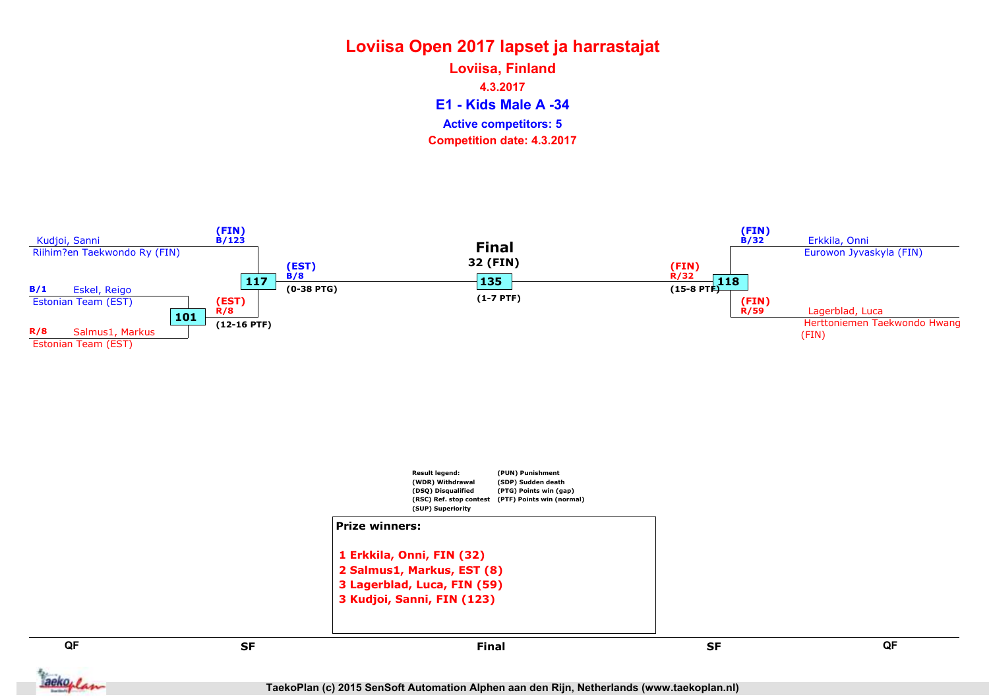E1 - Kids Male A -34 Loviisa, Finland 4.3.2017 Competition date: 4.3.2017 Active competitors: 5





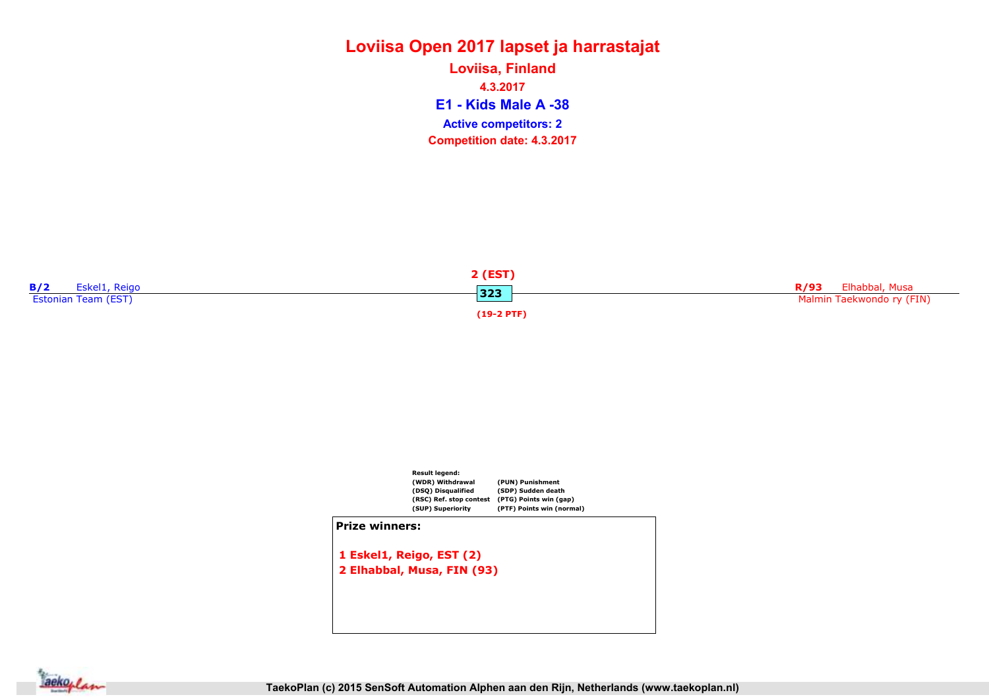E1 - Kids Male A -38 Loviisa, Finland 4.3.2017 Competition date: 4.3.2017 Active competitors: 2





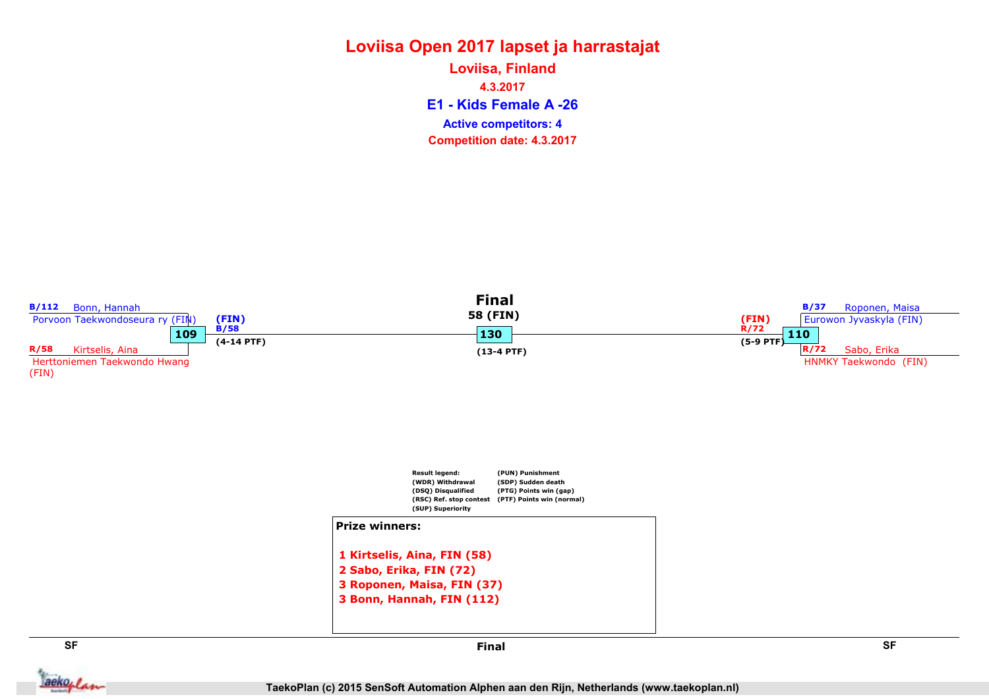#### Loviisa Open 2017 lapset ja harrastajat E1 - Kids Female A -26 Loviisa, Finland 4.3.2017

Competition date: 4.3.2017 Active competitors: 4



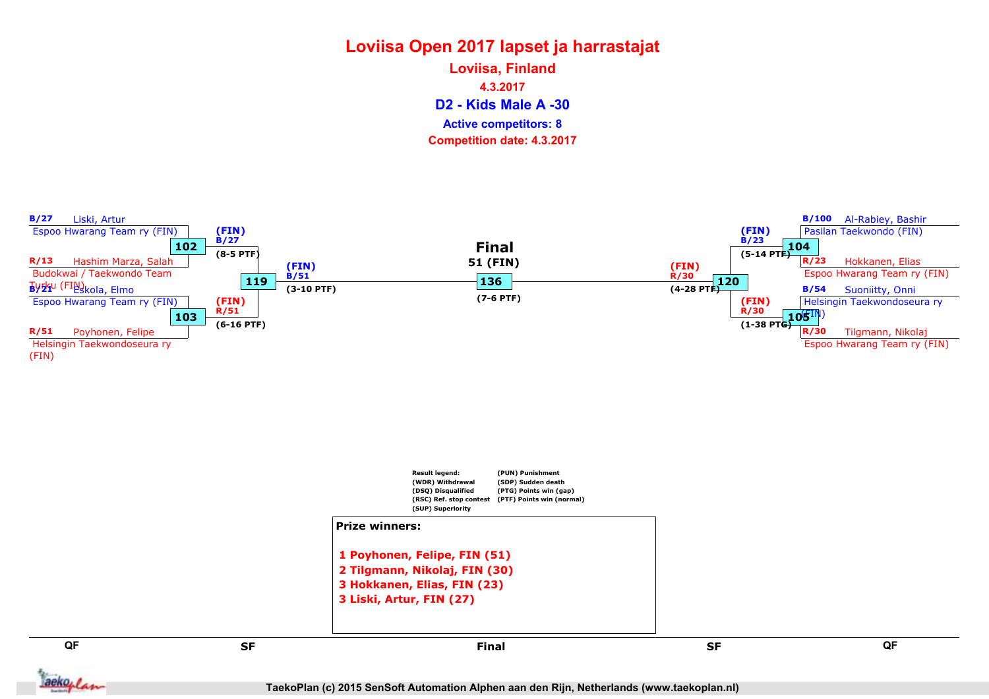D2 - Kids Male A -30 Loviisa, Finland 4.3.2017 Competition date: 4.3.2017 Active competitors: 8

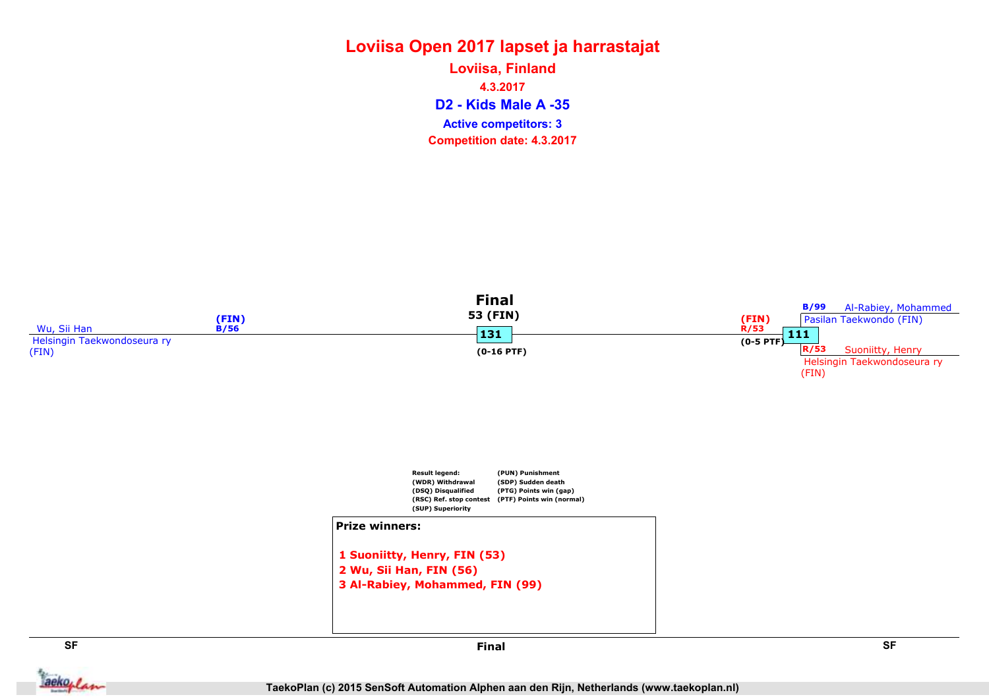# Loviisa Open 2017 lapset ja harrastajat Loviisa, Finland 4.3.2017

D2 - Kids Male A -35 Active competitors: 3

Competition date: 4.3.2017

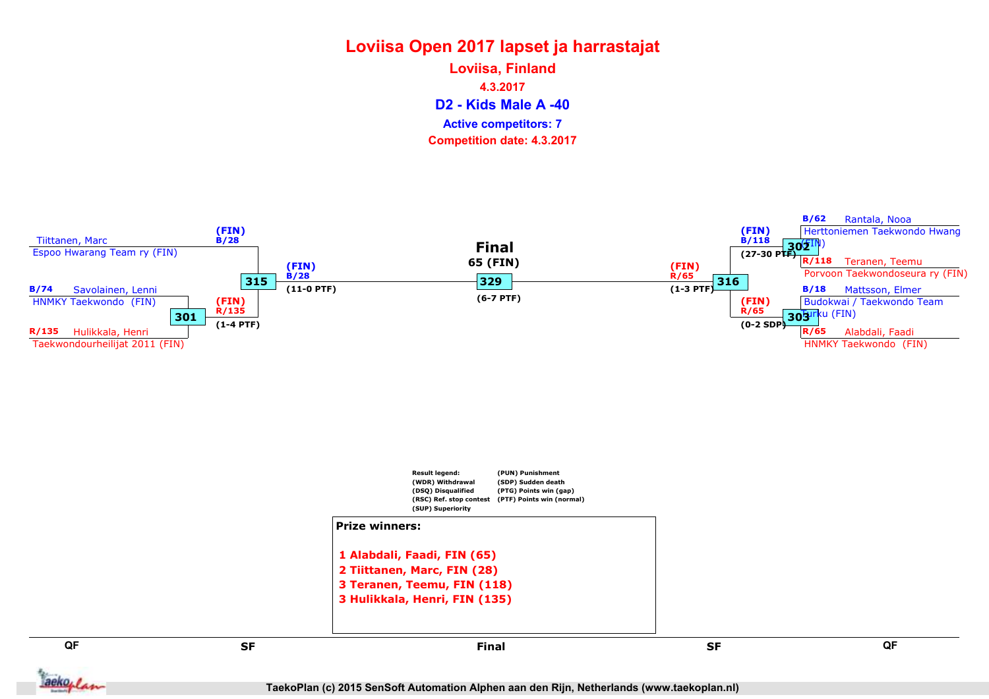D2 - Kids Male A -40 Loviisa, Finland 4.3.2017 Competition date: 4.3.2017 Active competitors: 7

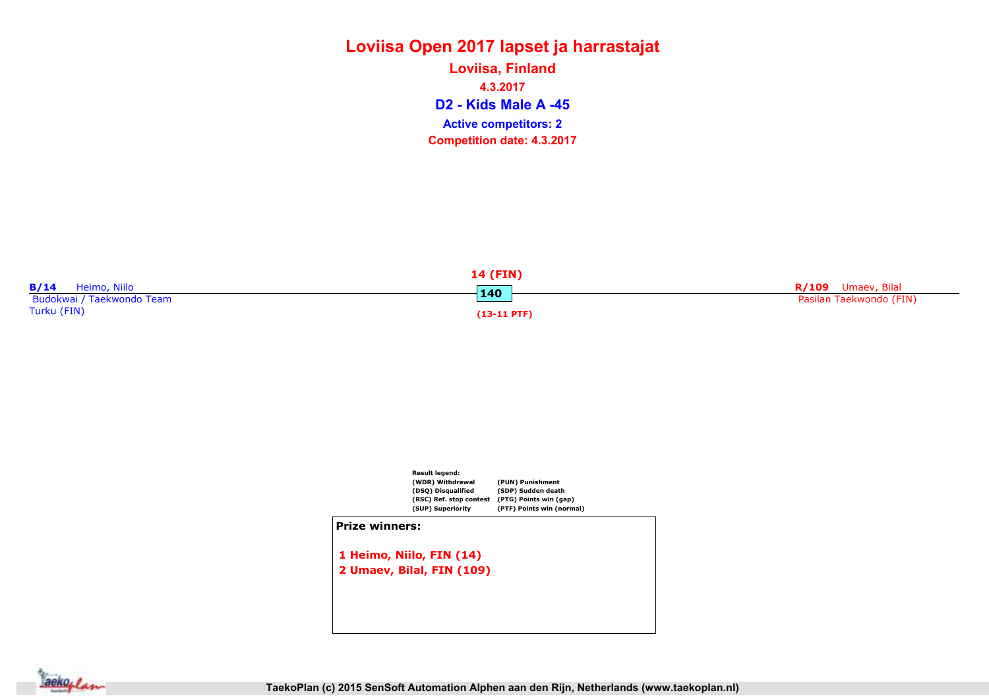D2 - Kids Male A -45 Loviisa, Finland 4.3.2017 Competition date: 4.3.2017 Active competitors: 2





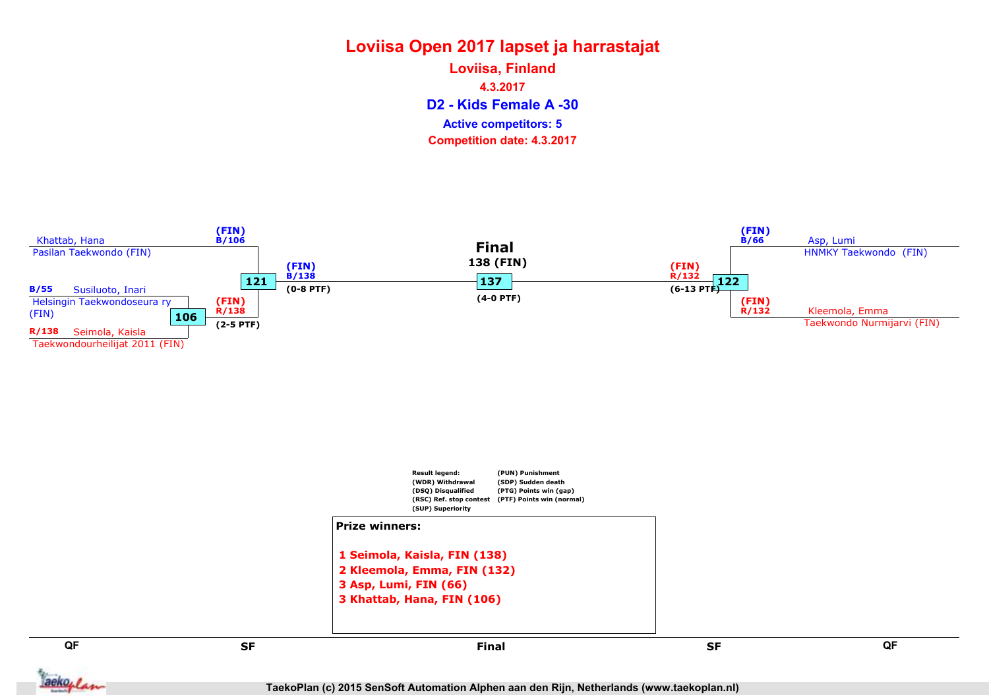D2 - Kids Female A -30 Loviisa, Finland 4.3.2017 Competition date: 4.3.2017 Active competitors: 5

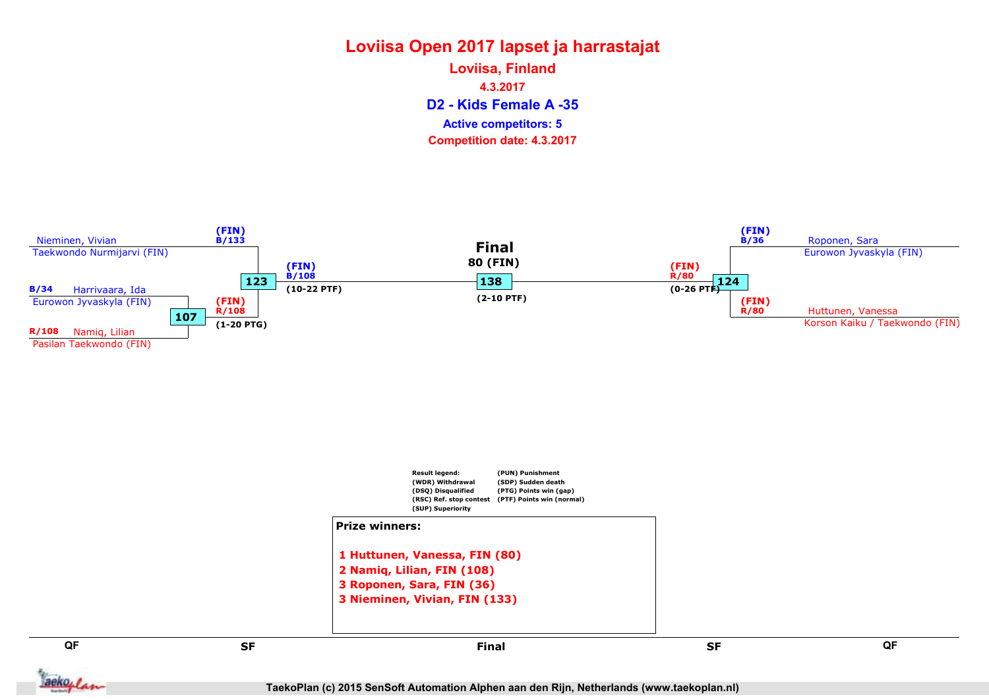D2 - Kids Female A -35 Loviisa, Finland 4.3.2017 Competition date: 4.3.2017 Active competitors: 5



TaekoPlan (c) 2015 SenSoft Automation Alphen aan den Rijn, Netherlands (www.taekoplan.nl)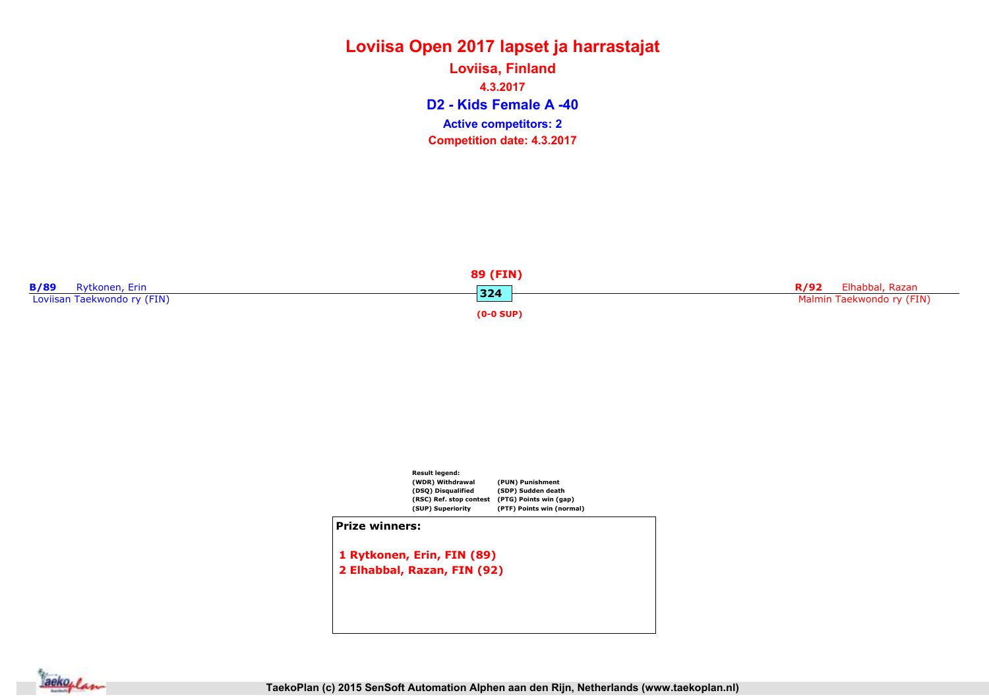#### Loviisa Open 2017 lapset ja harrastajat D2 - Kids Female A -40 Loviisa, Finland 4.3.2017 Competition date: 4.3.2017 Active competitors: 2





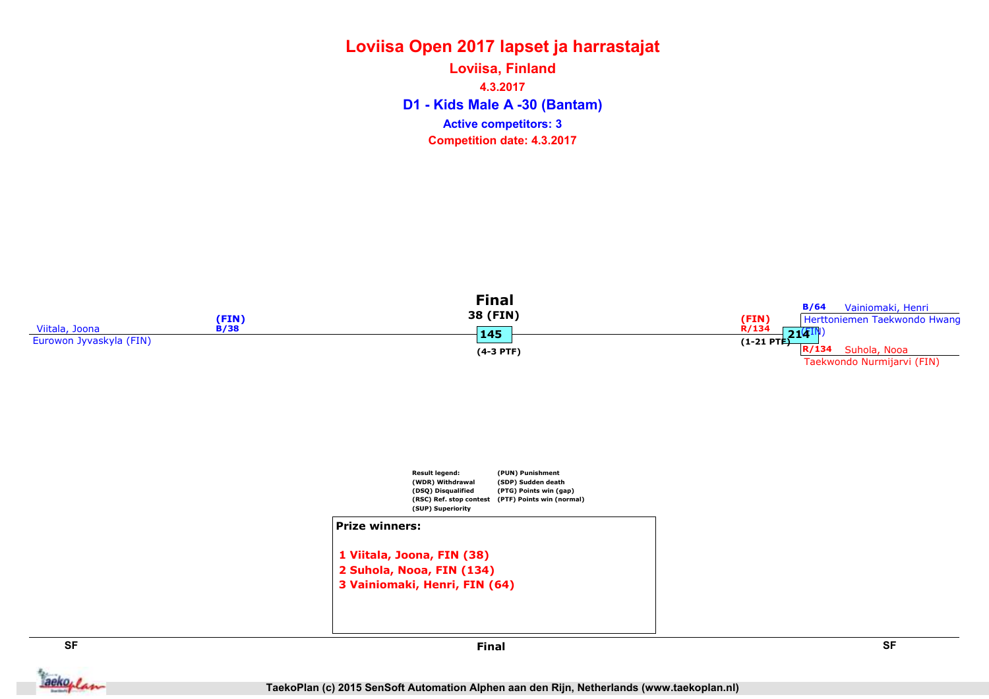## Loviisa Open 2017 lapset ja harrastajat D1 - Kids Male A -30 (Bantam) Loviisa, Finland 4.3.2017 Competition date: 4.3.2017 Active competitors: 3







**Jackoplan** 

SF SF Final

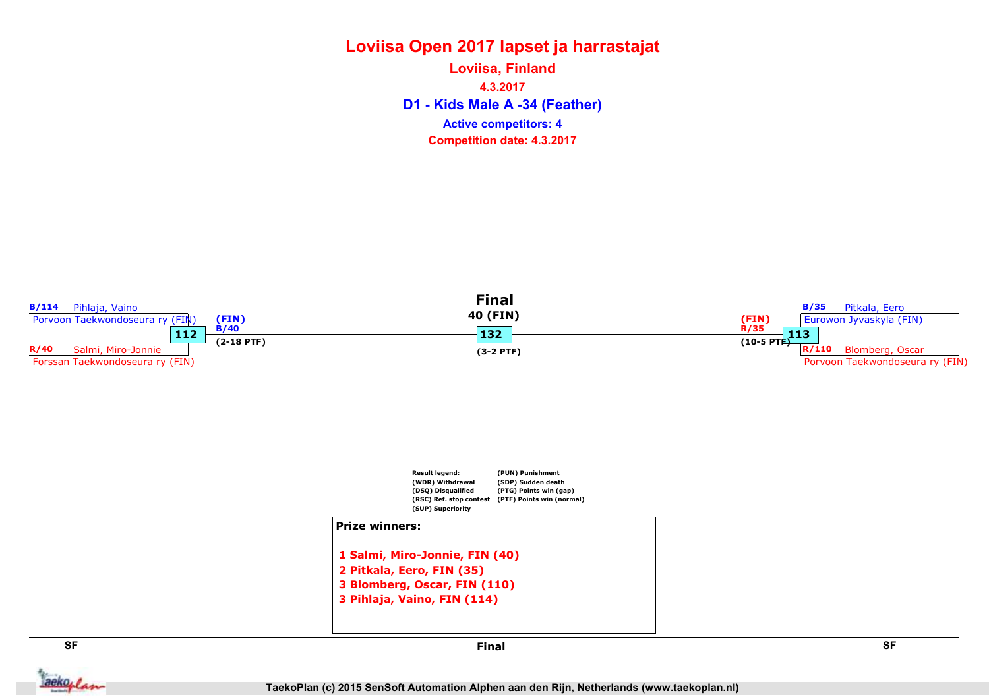#### Loviisa Open 2017 lapset ja harrastajat D1 - Kids Male A -34 (Feather) Loviisa, Finland 4.3.2017 Competition date: 4.3.2017 Active competitors: 4

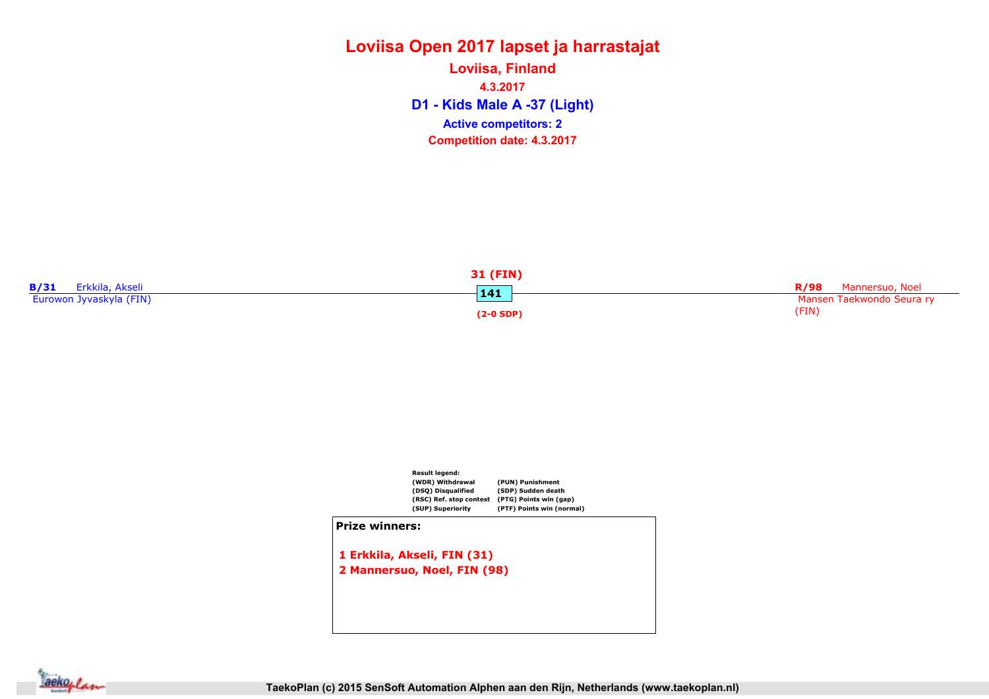D1 - Kids Male A -37 (Light) Loviisa, Finland 4.3.2017 Competition date: 4.3.2017 Active competitors: 2





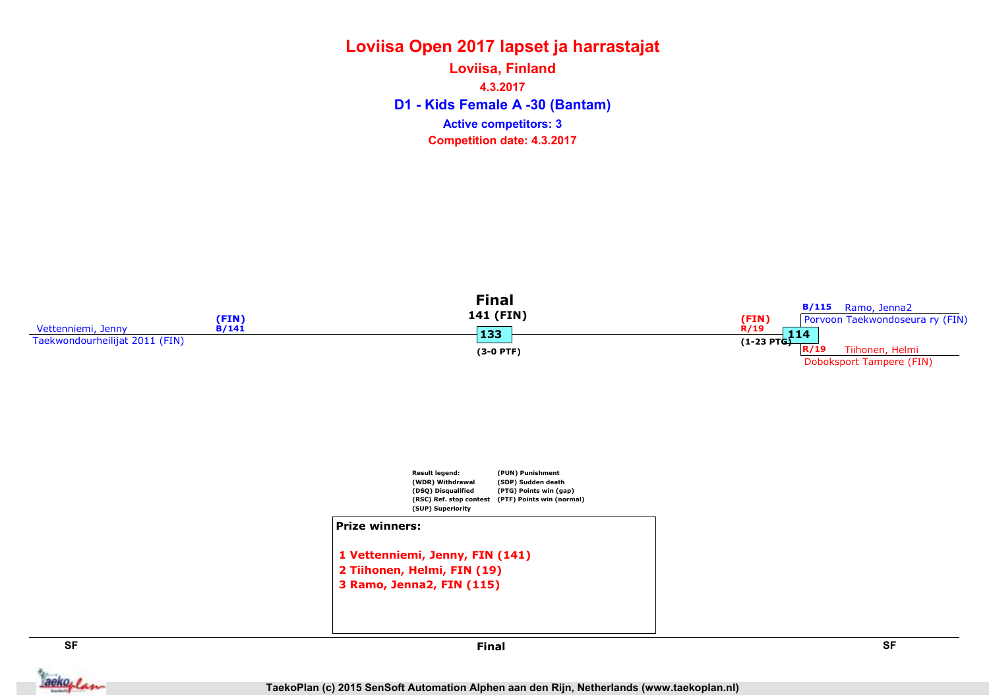## Loviisa Open 2017 lapset ja harrastajat D1 - Kids Female A -30 (Bantam) Loviisa, Finland 4.3.2017 Competition date: 4.3.2017 Active competitors: 3

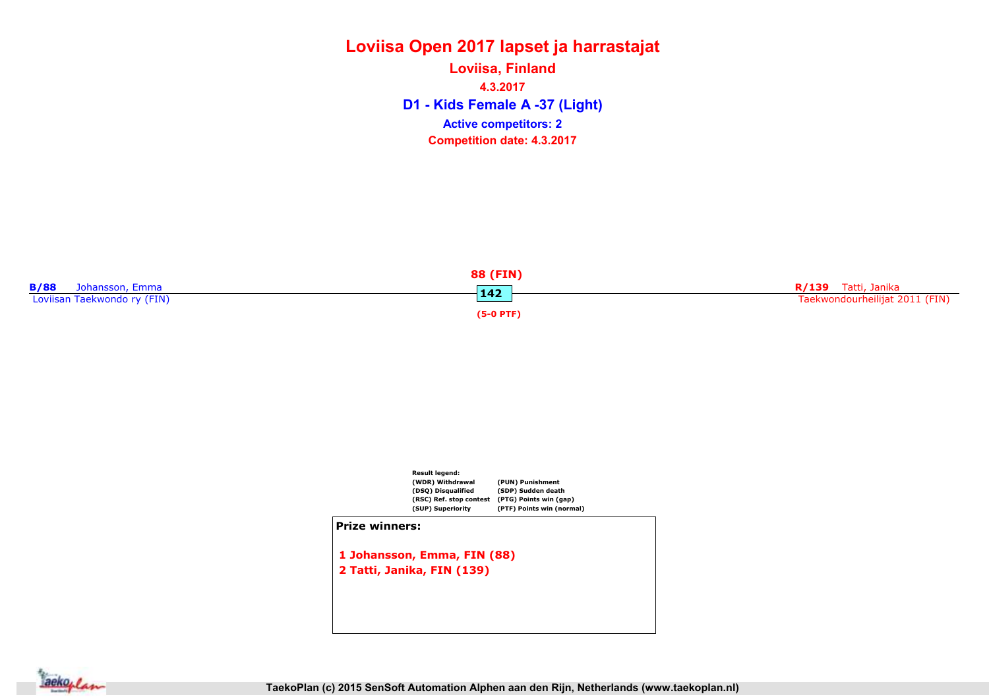D1 - Kids Female A -37 (Light) Loviisa, Finland 4.3.2017 Competition date: 4.3.2017 Active competitors: 2





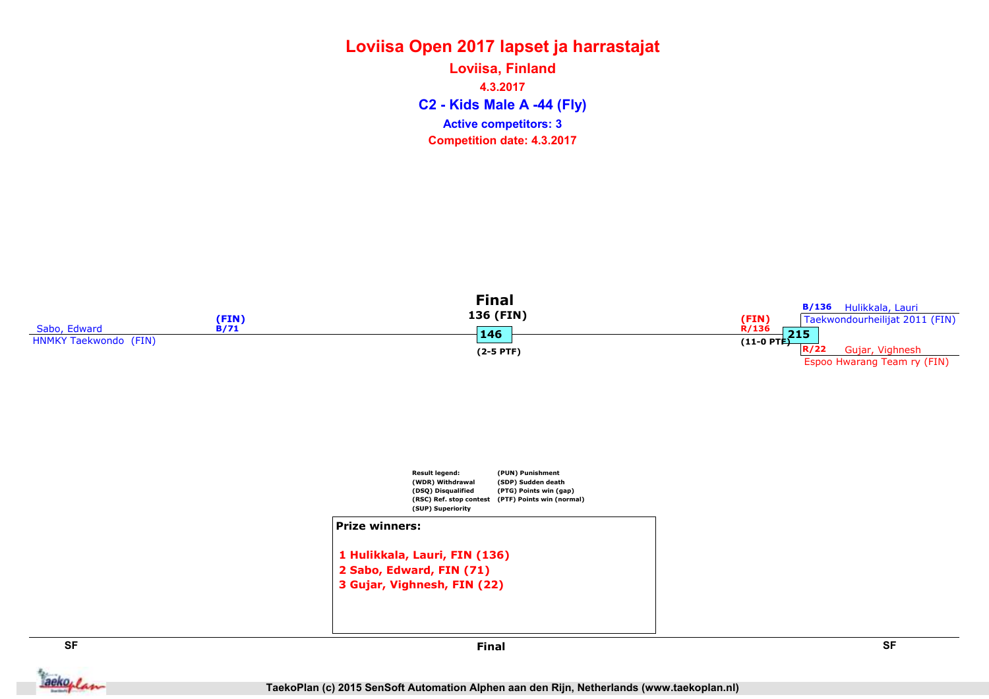C2 - Kids Male A -44 (Fly) Loviisa, Finland 4.3.2017 Competition date: 4.3.2017 Active competitors: 3



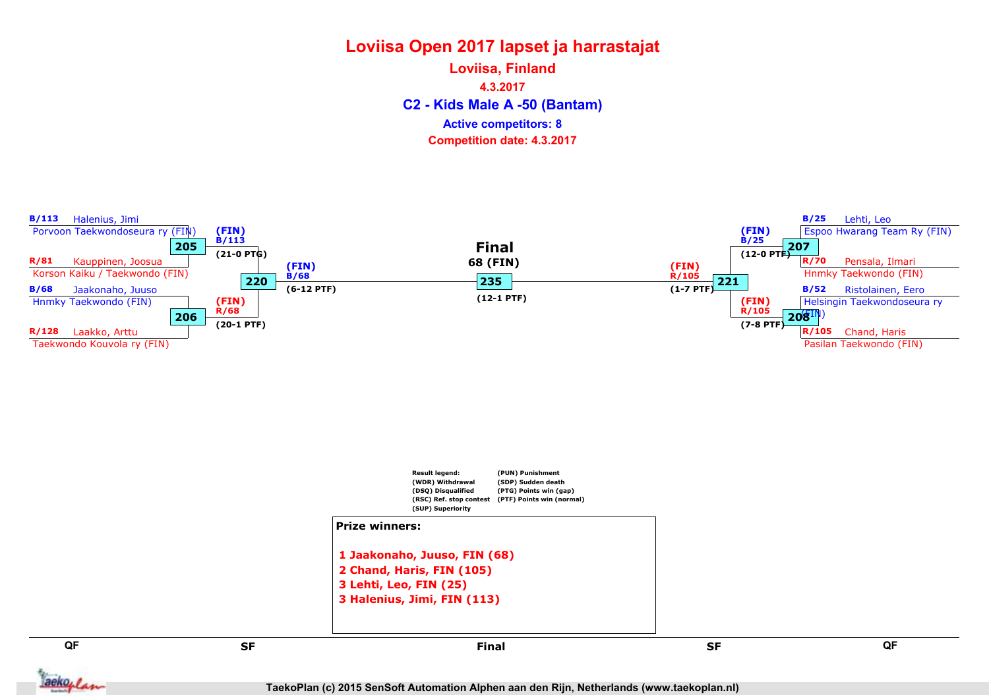C2 - Kids Male A -50 (Bantam) Loviisa, Finland 4.3.2017 Competition date: 4.3.2017 Active competitors: 8



3 Lehti, Leo, FIN (25) 3 Halenius, Jimi, FIN (113)

aekoplan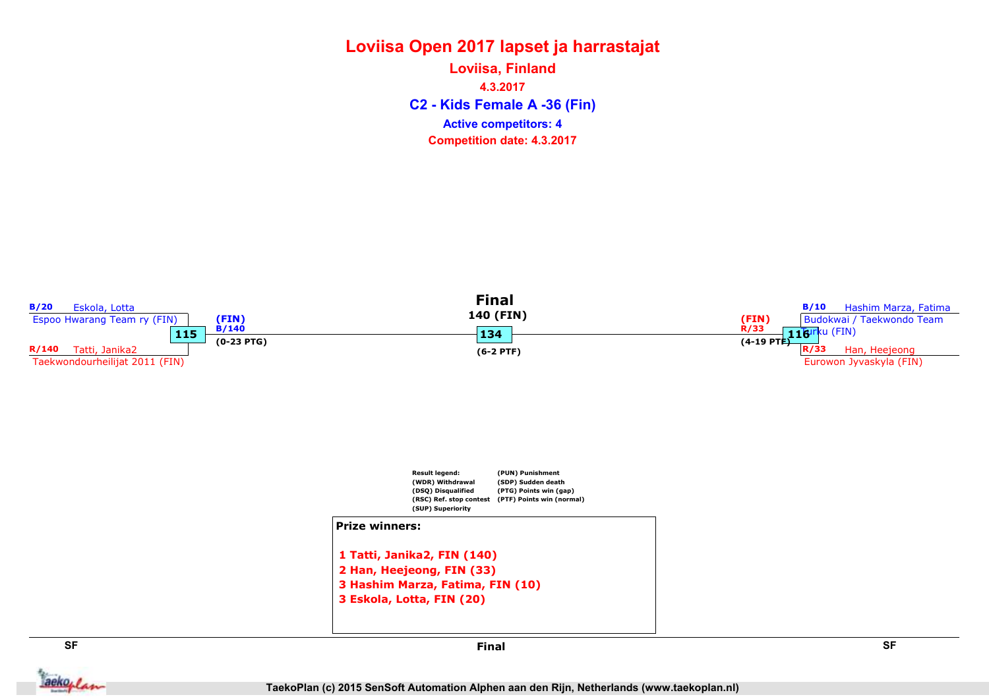C2 - Kids Female A -36 (Fin) Loviisa, Finland 4.3.2017 Competition date: 4.3.2017 Active competitors: 4

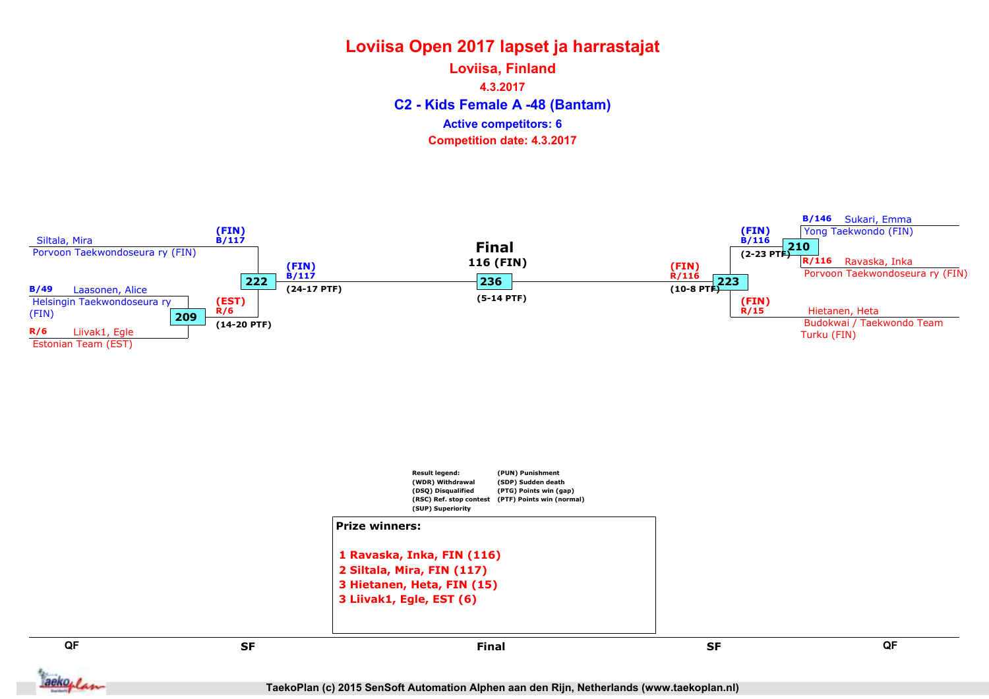C2 - Kids Female A -48 (Bantam) Loviisa, Finland 4.3.2017 Competition date: 4.3.2017 Active competitors: 6

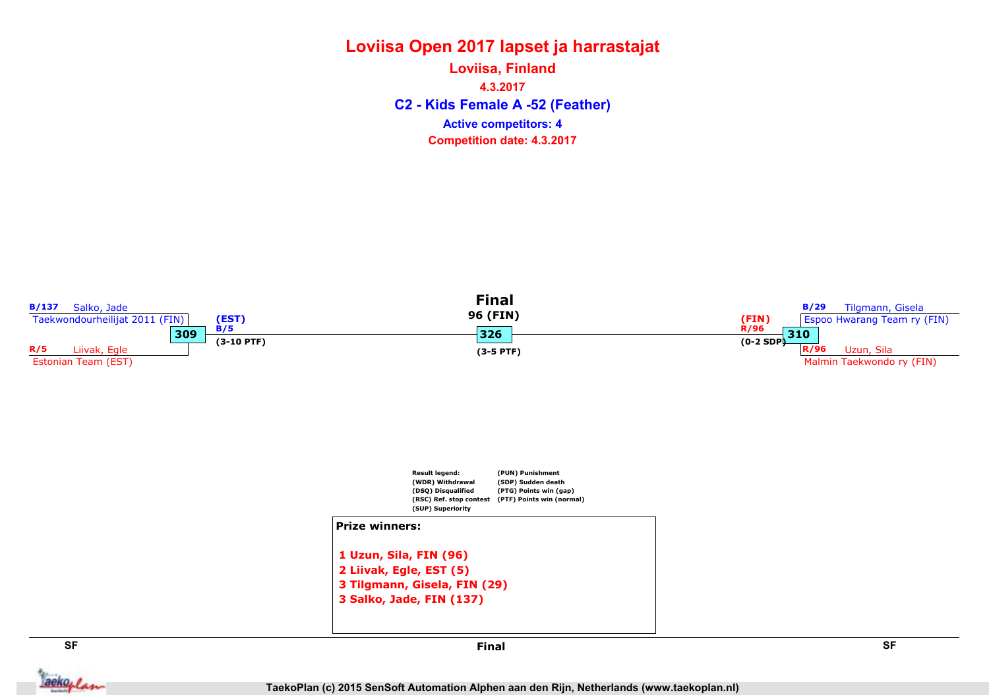#### Loviisa Open 2017 lapset ja harrastajat C2 - Kids Female A -52 (Feather) Loviisa, Finland 4.3.2017 Competition date: 4.3.2017 Active competitors: 4



**Jackoplan**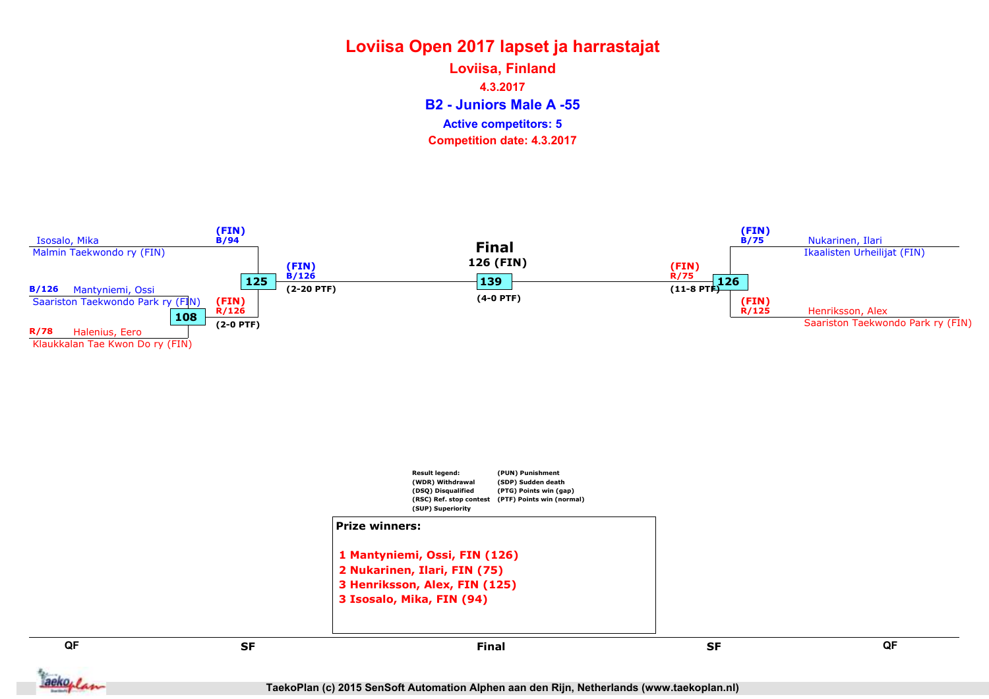B2 - Juniors Male A -55 Loviisa, Finland 4.3.2017 Competition date: 4.3.2017 Active competitors: 5

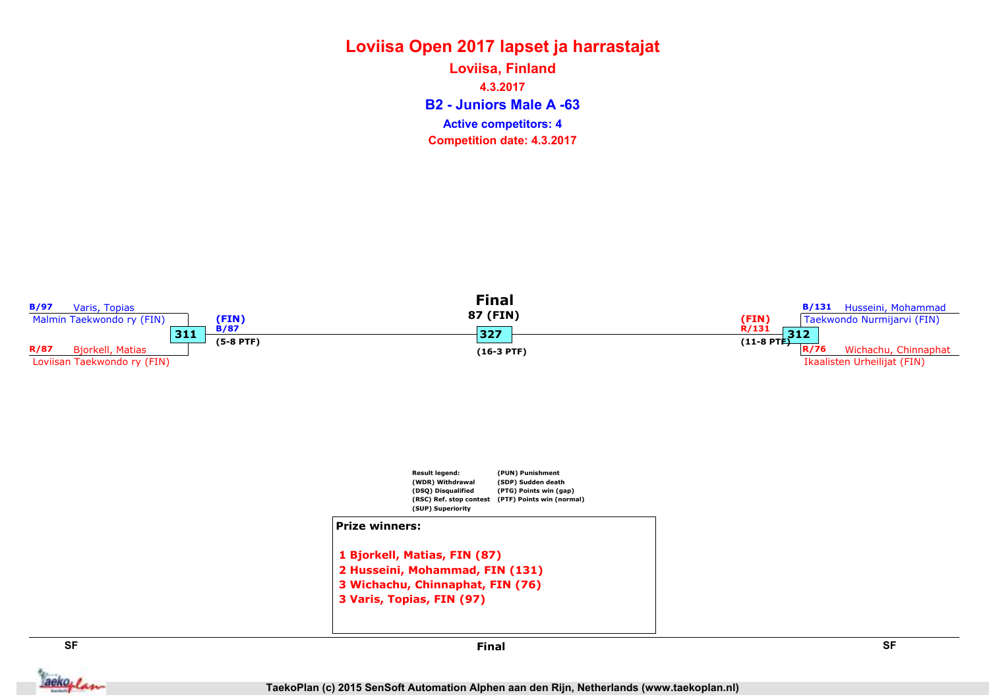# Loviisa Open 2017 lapset ja harrastajat Loviisa, Finland

B2 - Juniors Male A -63 4.3.2017 Competition date: 4.3.2017 Active competitors: 4

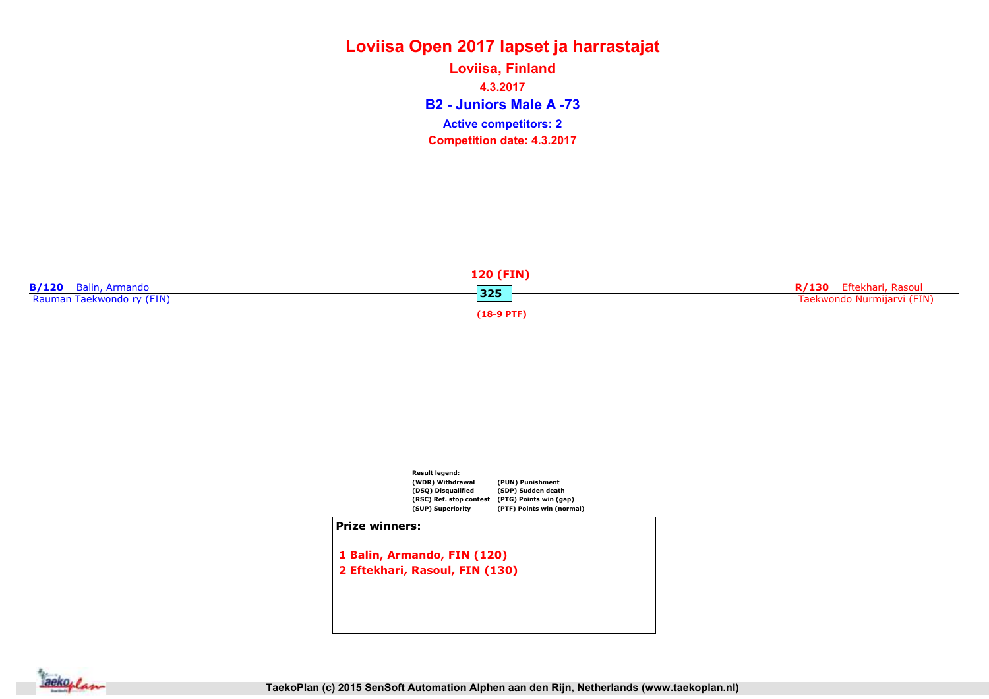B2 - Juniors Male A -73 Loviisa, Finland 4.3.2017 Competition date: 4.3.2017 Active competitors: 2





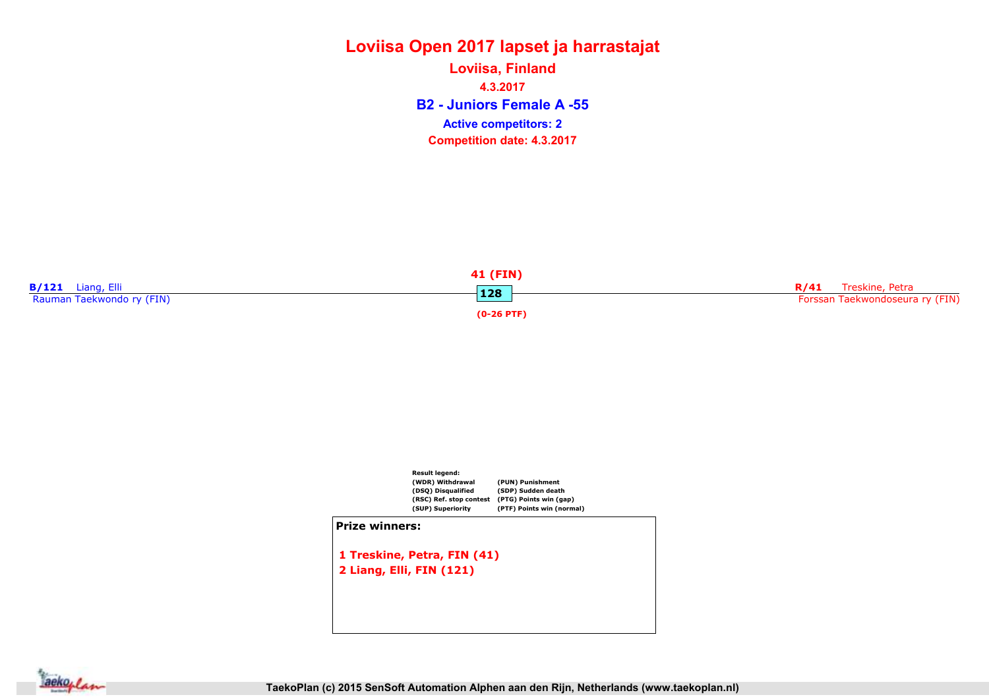B2 - Juniors Female A -55 Loviisa, Finland 4.3.2017 Competition date: 4.3.2017 Active competitors: 2





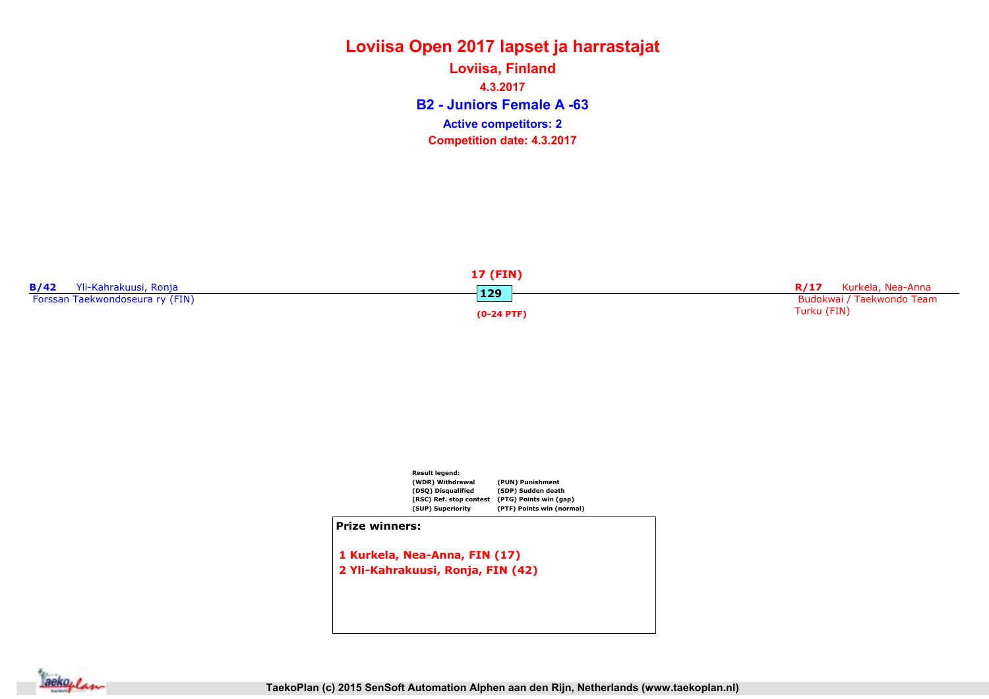B2 - Juniors Female A -63 Loviisa, Finland 4.3.2017 Competition date: 4.3.2017 Active competitors: 2





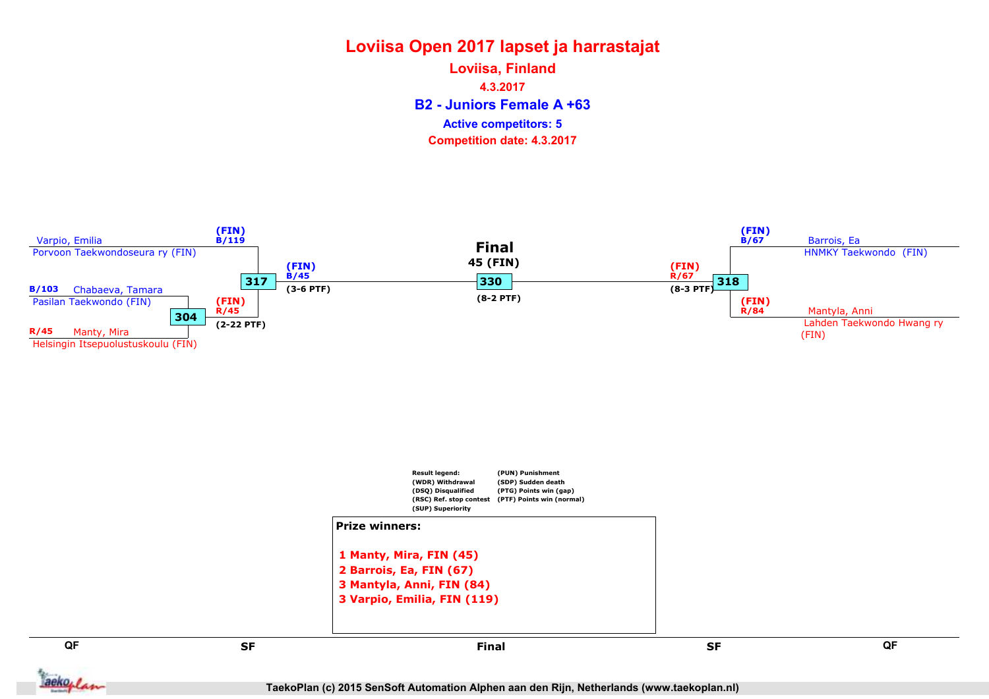B2 - Juniors Female A +63 Loviisa, Finland 4.3.2017 Competition date: 4.3.2017 Active competitors: 5





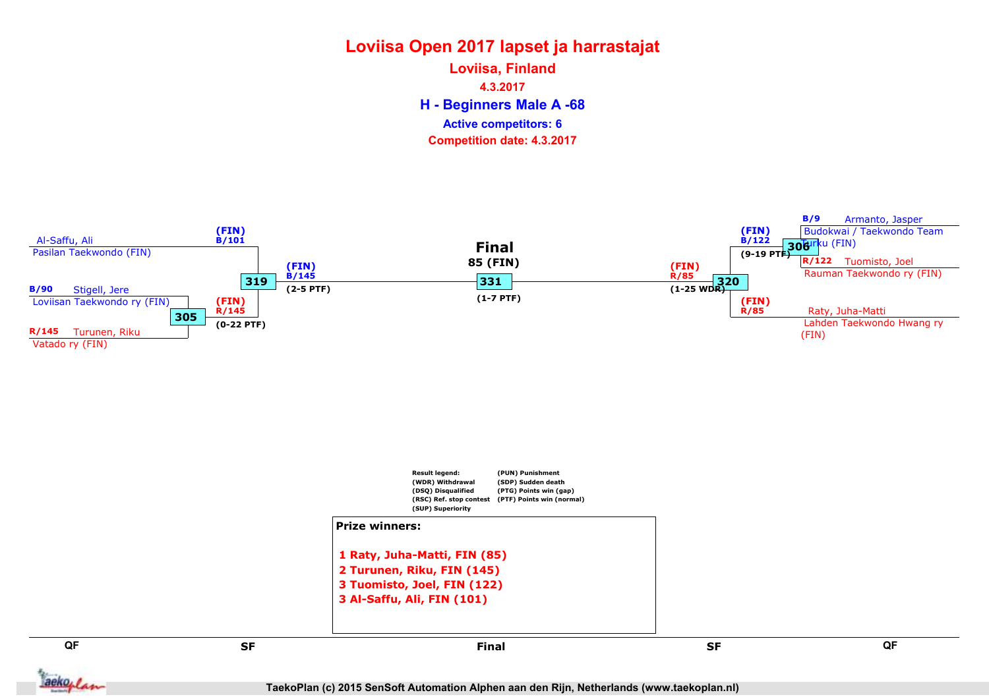H - Beginners Male A -68 Loviisa, Finland 4.3.2017 Competition date: 4.3.2017 Active competitors: 6

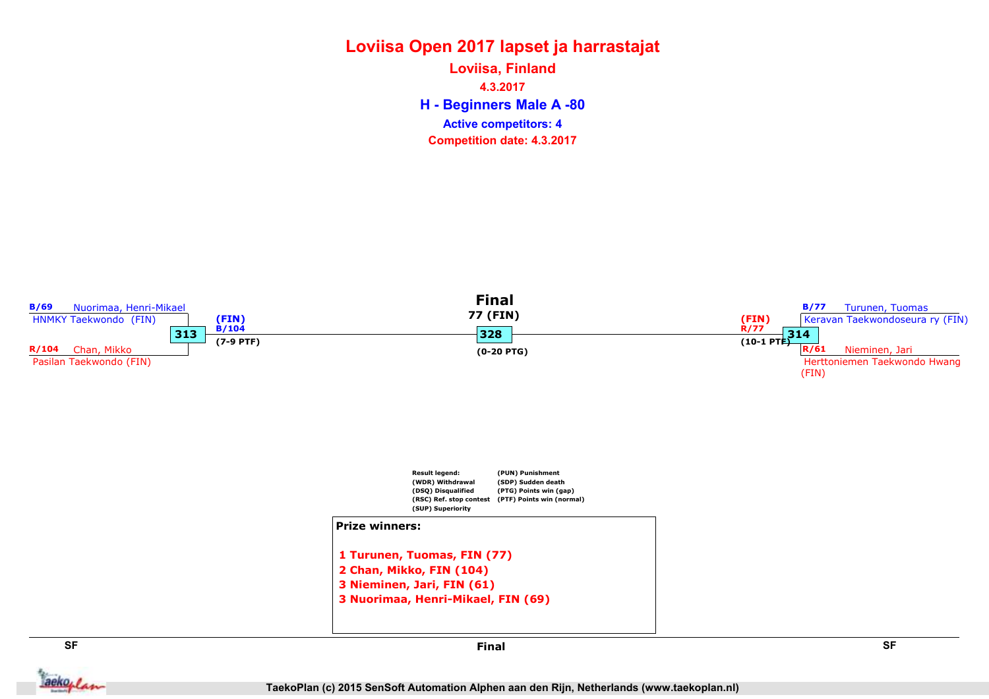H - Beginners Male A -80 Loviisa, Finland 4.3.2017 Competition date: 4.3.2017 Active competitors: 4



aekoplan

Final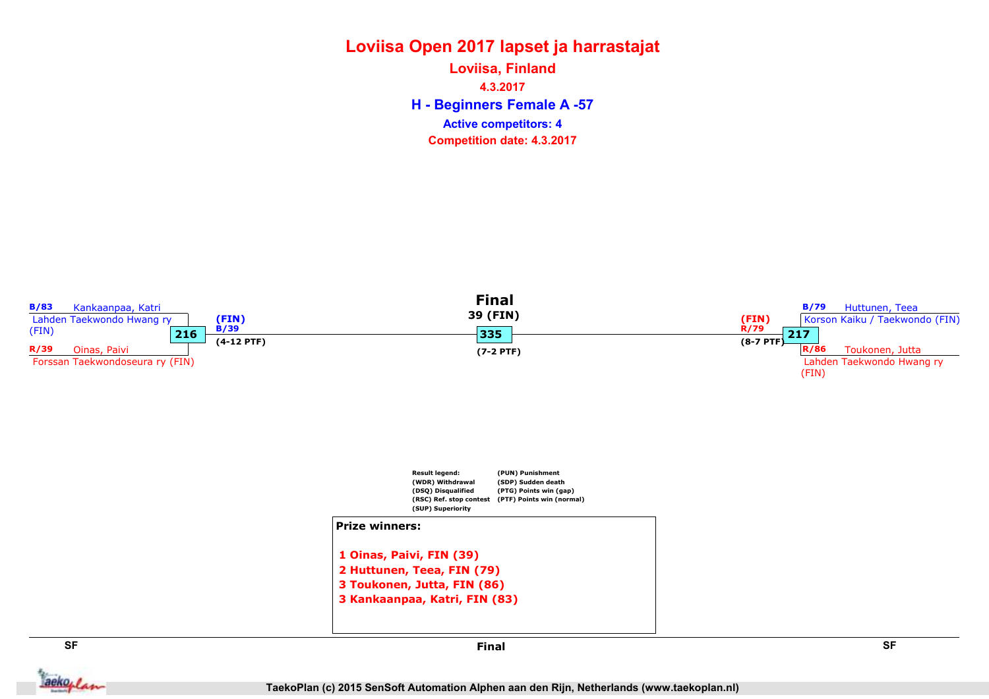### Loviisa Open 2017 lapset ja harrastajat H - Beginners Female A -57 Loviisa, Finland 4.3.2017

Competition date: 4.3.2017 Active competitors: 4



aekoplan

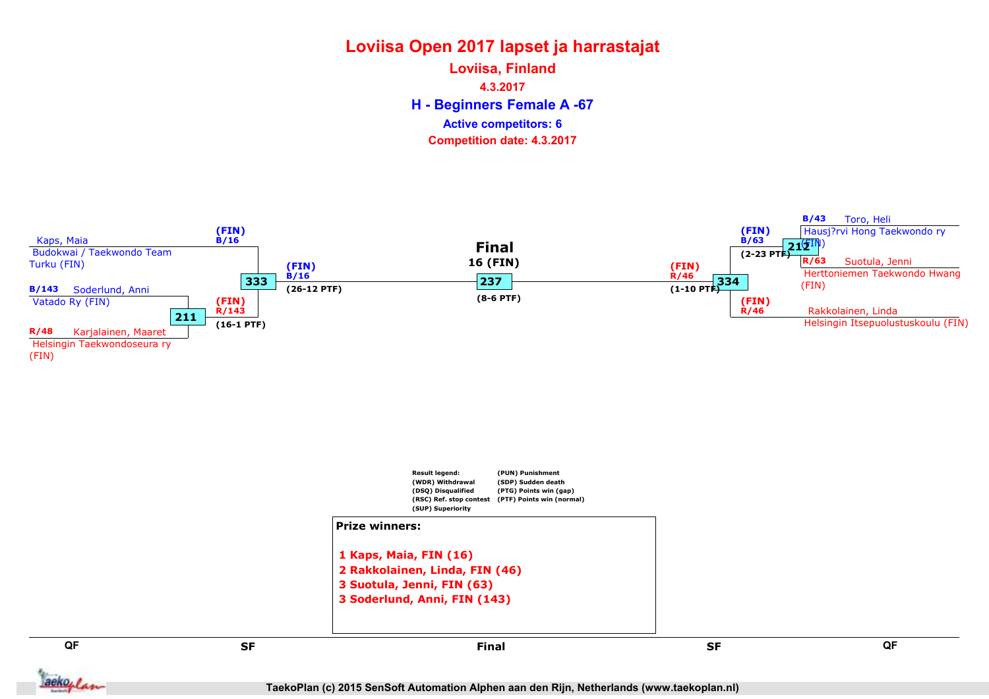H - Beginners Female A -67 Loviisa, Finland 4.3.2017 Competition date: 4.3.2017 Active competitors: 6

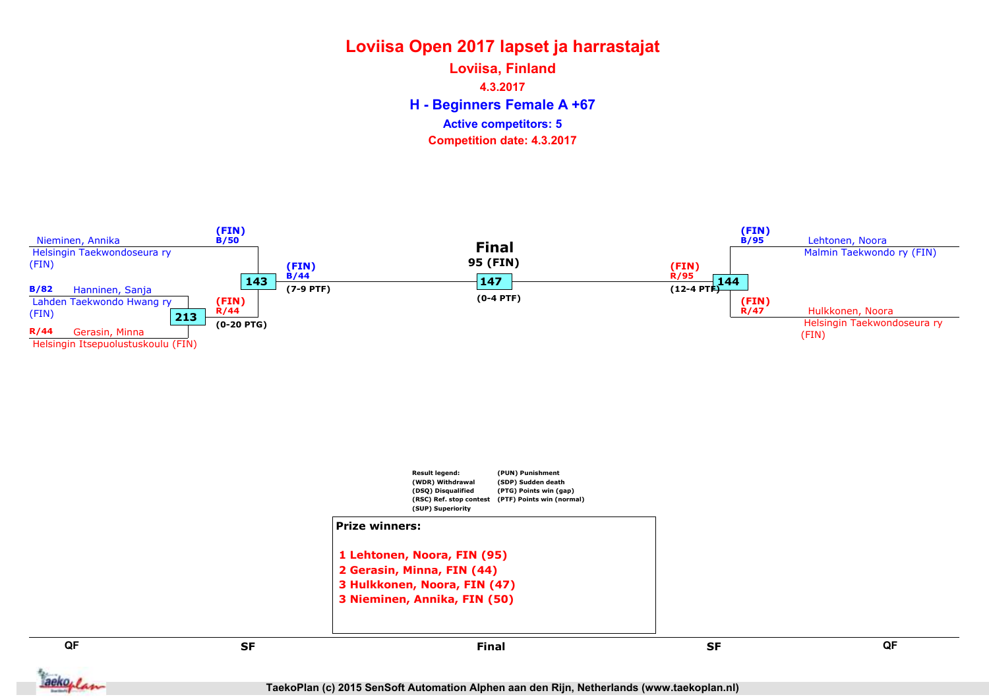H - Beginners Female A +67 Loviisa, Finland 4.3.2017 Competition date: 4.3.2017 Active competitors: 5



QF QF set and the set of the set of the set of the set of the set of the set of the set of the set of the set of the Final

3 Hulkkonen, Noora, FIN (47) 3 Nieminen, Annika, FIN (50)